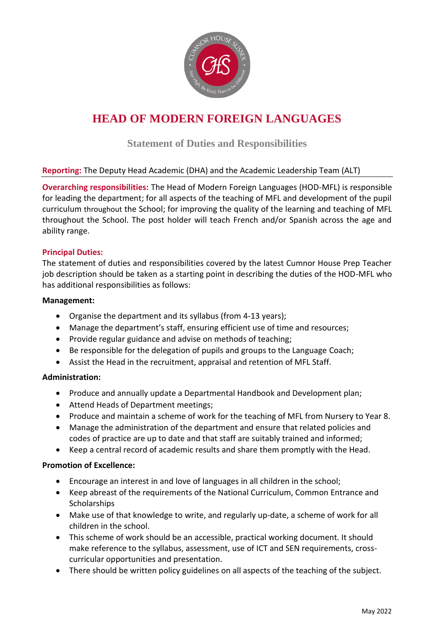

# **HEAD OF MODERN FOREIGN LANGUAGES**

**Statement of Duties and Responsibilities**

# **Reporting:** The Deputy Head Academic (DHA) and the Academic Leadership Team (ALT)

**Overarching responsibilities:** The Head of Modern Foreign Languages (HOD-MFL) is responsible for leading the department; for all aspects of the teaching of MFL and development of the pupil curriculum throughout the School; for improving the quality of the learning and teaching of MFL throughout the School. The post holder will teach French and/or Spanish across the age and ability range.

# **Principal Duties:**

The statement of duties and responsibilities covered by the latest Cumnor House Prep Teacher job description should be taken as a starting point in describing the duties of the HOD-MFL who has additional responsibilities as follows:

#### **Management:**

- Organise the department and its syllabus (from 4-13 years);
- Manage the department's staff, ensuring efficient use of time and resources;
- Provide regular guidance and advise on methods of teaching;
- Be responsible for the delegation of pupils and groups to the Language Coach;
- Assist the Head in the recruitment, appraisal and retention of MFL Staff.

# **Administration:**

- Produce and annually update a Departmental Handbook and Development plan;
- Attend Heads of Department meetings;
- Produce and maintain a scheme of work for the teaching of MFL from Nursery to Year 8.
- Manage the administration of the department and ensure that related policies and codes of practice are up to date and that staff are suitably trained and informed;
- Keep a central record of academic results and share them promptly with the Head.

#### **Promotion of Excellence:**

- Encourage an interest in and love of languages in all children in the school;
- Keep abreast of the requirements of the National Curriculum, Common Entrance and **Scholarships**
- Make use of that knowledge to write, and regularly up-date, a scheme of work for all children in the school.
- This scheme of work should be an accessible, practical working document. It should make reference to the syllabus, assessment, use of ICT and SEN requirements, crosscurricular opportunities and presentation.
- There should be written policy guidelines on all aspects of the teaching of the subject.